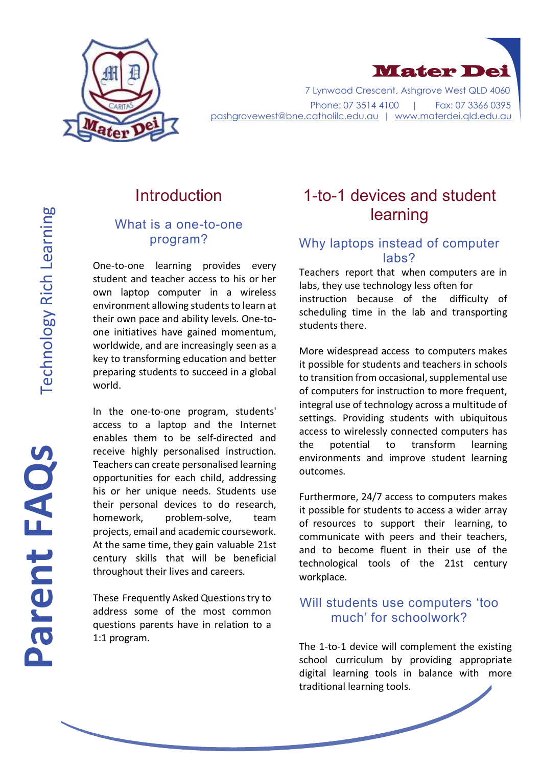



 7 Lynwood Crescent, Ashgrove West QLD 4060 Phone: 07 3514 4100 | Fax: 07 3366 0395 [pashgrovewest@bne.catholilc.edu.au](mailto:pashgrovewest@bne.catholilc.edu.au) | [www.materdei.qld.edu.au](http://www.materdei.qld.edu.au/)

## Introduction

#### What is a one-to-one program?

One-to-one learning provides every student and teacher access to his or her own laptop computer in a wireless environment allowing students to learn at their own pace and ability levels. One-toone initiatives have gained momentum, worldwide, and are increasingly seen as a key to transforming education and better preparing students to succeed in a global world.

In the one-to-one program, students' access to a laptop and the Internet enables them to be self-directed and receive highly personalised instruction. Teachers can create personalised learning opportunities for each child, addressing his or her unique needs. Students use their personal devices to do research, homework, problem-solve, team projects, email and academic coursework. At the same time, they gain valuable 21st century skills that will be beneficial throughout their lives and careers.

These Frequently Asked Questions try to address some of the most common questions parents have in relation to a 1:1 program.

## 1-to-1 devices and student learning

## Why laptops instead of computer labs?

Teachers report that when computers are in labs, they use technology less often for instruction because of the difficulty of scheduling time in the lab and transporting students there.

More widespread access to computers makes it possible for students and teachers in schools to transition from occasional, supplemental use of computers for instruction to more frequent, integral use of technology across a multitude of settings. Providing students with ubiquitous access to wirelessly connected computers has the potential to transform learning environments and improve student learning outcomes.

Furthermore, 24/7 access to computers makes it possible for students to access a wider array of resources to support their learning, to communicate with peers and their teachers, and to become fluent in their use of the technological tools of the 21st century workplace.

#### Will students use computers 'too much' for schoolwork?

The 1-to-1 device will complement the existing school curriculum by providing appropriate digital learning tools in balance with more traditional learning tools.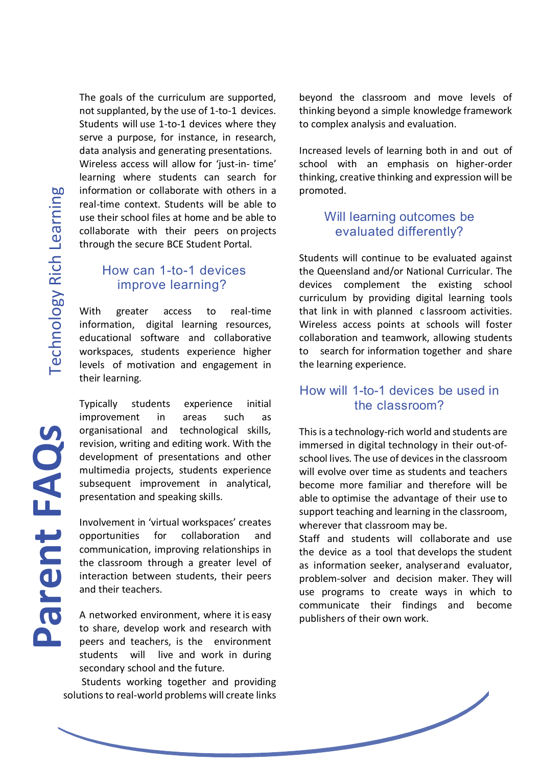Parent FAQs

The goals of the curriculum are supported, not supplanted, by the use of 1-to-1 devices. Students will use 1-to-1 devices where they serve a purpose, for instance, in research, data analysis and generating presentations. Wireless access will allow for 'just-in- time' learning where students can search for information or collaborate with others in a real-time context. Students will be able to use their school files at home and be able to collaborate with their peers on projects through the secure BCE Student Portal.

#### How can 1-to-1 devices improve learning?

With greater access to real-time information, digital learning resources, educational software and collaborative workspaces, students experience higher levels of motivation and engagement in their learning.

Typically students experience initial improvement in areas such as organisational and technological skills, revision, writing and editing work. With the development of presentations and other multimedia projects, students experience subsequent improvement in analytical, presentation and speaking skills.

Involvement in 'virtual workspaces' creates opportunities for collaboration and communication, improving relationships in the classroom through a greater level of interaction between students, their peers and their teachers.

A networked environment, where it is easy to share, develop work and research with peers and teachers, is the environment students will live and work in during secondary school and the future.

Students working together and providing solutions to real-world problems will create links beyond the classroom and move levels of thinking beyond a simple knowledge framework to complex analysis and evaluation.

Increased levels of learning both in and out of school with an emphasis on higher-order thinking, creative thinking and expression will be promoted.

#### Will learning outcomes be evaluated differently?

Students will continue to be evaluated against the Queensland and/or National Curricular. The devices complement the existing school curriculum by providing digital learning tools that link in with planned c lassroom activities. Wireless access points at schools will foster collaboration and teamwork, allowing students to search for information together and share the learning experience.

#### How will 1-to-1 devices be used in the classroom?

This is a technology-rich world and students are immersed in digital technology in their out-ofschool lives. The use of devices in the classroom will evolve over time as students and teachers become more familiar and therefore will be able to optimise the advantage of their use to support teaching and learning in the classroom, wherever that classroom may be.

Staff and students will collaborate and use the device as a tool that develops the student as information seeker, analyserand evaluator, problem-solver and decision maker. They will use programs to create ways in which to communicate their findings and become publishers of their own work.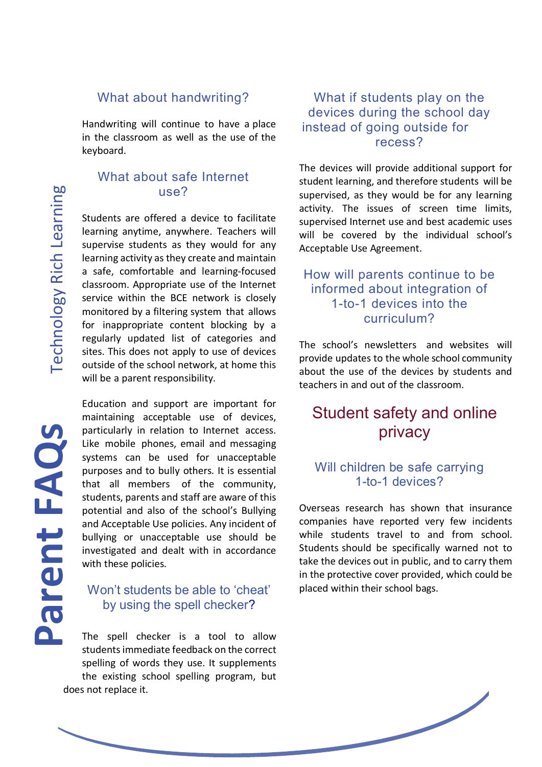#### What about handwriting?

Handwriting will continue to have a place in the classroom as well as the use of the keyboard.

#### What about safe Internet use?

Students are offered a device to facilitate learning anytime, anywhere. Teachers will supervise students as they would for any learning activity as they create and maintain a safe, comfortable and learning-focused classroom. Appropriate use of the Internet service within the BCE network is closely monitored by a filtering system that allows for inappropriate content blocking by a regularly updated list of categories and sites. This does not apply to use of devices outside of the school network, at home this will be a parent responsibility.

Education and support are important for maintaining acceptable use of devices, particularly in relation to Internet access. Like mobile phones, email and messaging systems can be used for unacceptable purposes and to bully others. It is essential that all members of the community, students, parents and staff are aware of this potential and also of the school's Bullying and Acceptable Use policies. Any incident of bullying or unacceptable use should be investigated and dealt with in accordance with these policies.

### Won't students be able to 'cheat' by using the spell checker?

The spell checker is a tool to allow students immediate feedback on the correct spelling of words they use. It supplements the existing school spelling program, but does not replace it.

#### What if students play on the devices during the school day instead of going outside for recess?

The devices will provide additional support for student learning, and therefore students will be supervised, as they would be for any learning activity. The issues of screen time limits, supervised Internet use and best academic uses will be covered by the individual school's Acceptable Use Agreement.

#### How will parents continue to be informed about integration of 1-to-1 devices into the curriculum?

The school's newsletters and websites will provide updates to the whole school community about the use of the devices by students and teachers in and out of the classroom.

## Student safety and online privacy

#### Will children be safe carrying 1-to-1 devices?

Overseas research has shown that insurance companies have reported very few incidents while students travel to and from school. Students should be specifically warned not to take the devices out in public, and to carry them in the protective cover provided, which could be placed within their school bags.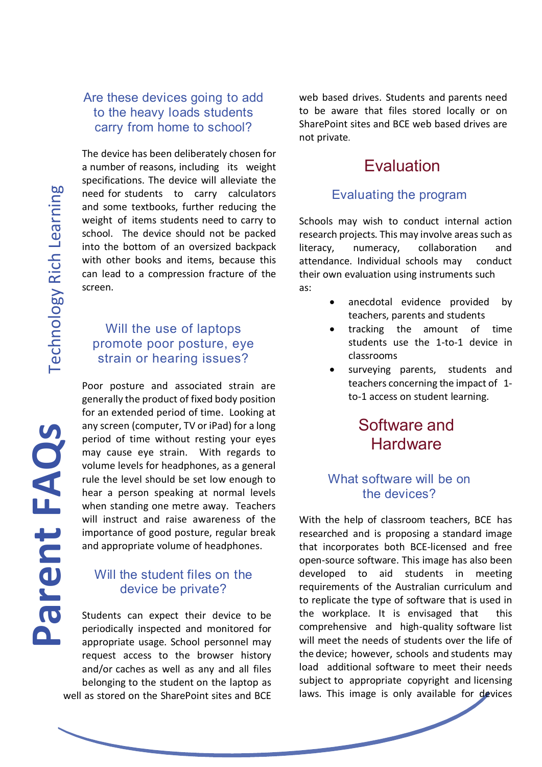Parent FAQs

#### Are these devices going to add to the heavy loads students carry from home to school?

The device has been deliberately chosen for a number of reasons, including its weight specifications. The device will alleviate the need for students to carry calculators and some textbooks, further reducing the weight of items students need to carry to school. The device should not be packed into the bottom of an oversized backpack with other books and items, because this can lead to a compression fracture of the screen.

#### Will the use of laptops promote poor posture, eye strain or hearing issues?

Poor posture and associated strain are generally the product of fixed body position for an extended period of time. Looking at any screen (computer, TV or iPad) for a long period of time without resting your eyes may cause eye strain. With regards to volume levels for headphones, as a general rule the level should be set low enough to hear a person speaking at normal levels when standing one metre away. Teachers will instruct and raise awareness of the importance of good posture, regular break and appropriate volume of headphones.

#### Will the student files on the device be private?

Students can expect their device to be periodically inspected and monitored for appropriate usage. School personnel may request access to the browser history and/or caches as well as any and all files belonging to the student on the laptop as well as stored on the SharePoint sites and BCE web based drives. Students and parents need to be aware that files stored locally or on SharePoint sites and BCE web based drives are not private.

## Evaluation

#### Evaluating the program

Schools may wish to conduct internal action research projects. This may involve areas such as literacy, numeracy, collaboration and attendance. Individual schools may conduct their own evaluation using instruments such as:

- anecdotal evidence provided by teachers, parents and students
- tracking the amount of time students use the 1-to-1 device in classrooms
- surveying parents, students and teachers concerning the impact of 1 to-1 access on student learning.

## Software and **Hardware**

#### What software will be on the devices?

With the help of classroom teachers, BCE has researched and is proposing a standard image that incorporates both BCE-licensed and free open-source software. This image has also been developed to aid students in meeting requirements of the Australian curriculum and to replicate the type of software that is used in the workplace. It is envisaged that this comprehensive and high-quality software list will meet the needs of students over the life of the device; however, schools and students may load additional software to meet their needs subject to appropriate copyright and licensing laws. This image is only available for devices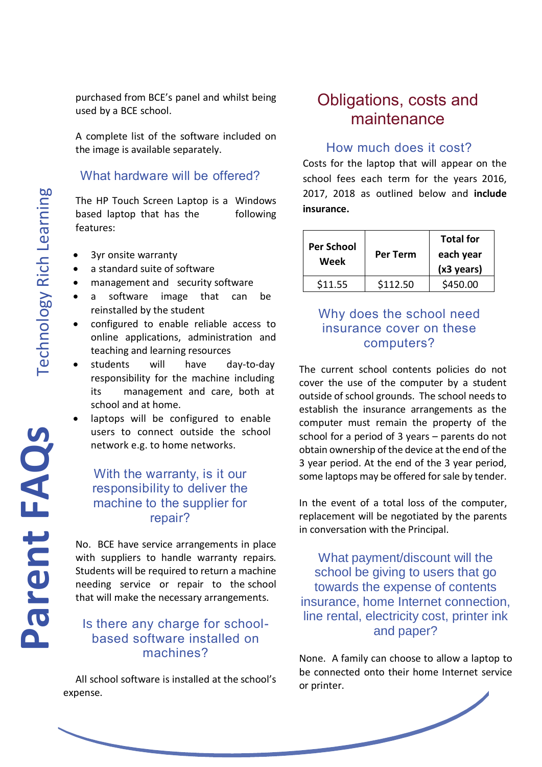purchased from BCE's panel and whilst being used by a BCE school.

A complete list of the software included on the image is available separately.

### What hardware will be offered?

The HP Touch Screen Laptop is a Windows based laptop that has the following features:

- 3yr onsite warranty
- a standard suite of software
- management and security software
- a software image that can be reinstalled by the student
- configured to enable reliable access to online applications, administration and teaching and learning resources
- students will have day-to-day responsibility for the machine including its management and care, both at school and at home.
- laptops will be configured to enable users to connect outside the school network e.g. to home networks.

#### With the warranty, is it our responsibility to deliver the machine to the supplier for repair?

No. BCE have service arrangements in place with suppliers to handle warranty repairs. Students will be required to return a machine needing service or repair to the school that will make the necessary arrangements.

### Is there any charge for schoolbased software installed on machines?

All school software is installed at the school's expense.

# Obligations, costs and maintenance

#### How much does it cost?

Costs for the laptop that will appear on the school fees each term for the years 2016, 2017, 2018 as outlined below and **include insurance.**

| <b>Per School</b><br>Week | Per Term | <b>Total for</b><br>each year<br>$(x3 \text{ years})$ |
|---------------------------|----------|-------------------------------------------------------|
| \$11.55                   | \$112.50 | \$450.00                                              |

## Why does the school need insurance cover on these computers?

The current school contents policies do not cover the use of the computer by a student outside of school grounds. The school needs to establish the insurance arrangements as the computer must remain the property of the school for a period of 3 years – parents do not obtain ownership of the device at the end of the 3 year period. At the end of the 3 year period, some laptops may be offered for sale by tender.

In the event of a total loss of the computer, replacement will be negotiated by the parents in conversation with the Principal.

What payment/discount will the school be giving to users that go towards the expense of contents insurance, home Internet connection, line rental, electricity cost, printer ink and paper?

None. A family can choose to allow a laptop to be connected onto their home Internet service or printer.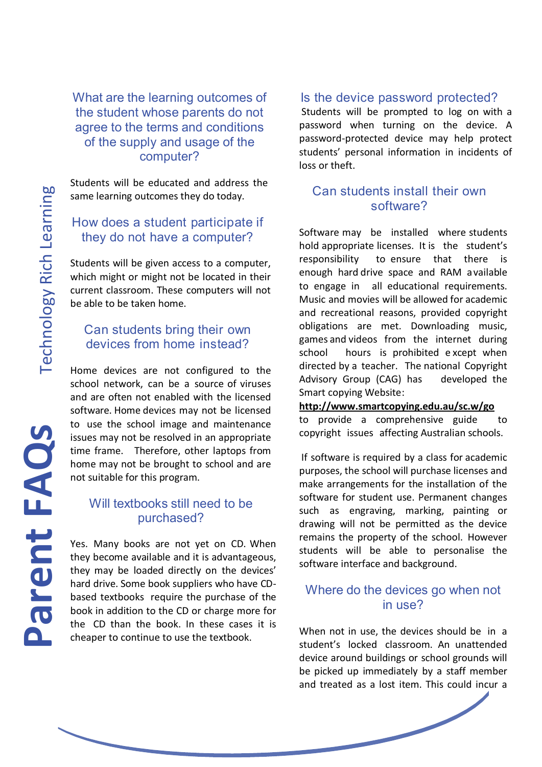What are the learning outcomes of the student whose parents do not agree to the terms and conditions of the supply and usage of the computer?

Students will be educated and address the same learning outcomes they do today.

### How does a student participate if they do not have a computer?

Students will be given access to a computer, which might or might not be located in their current classroom. These computers will not be able to be taken home.

### Can students bring their own devices from home instead?

Home devices are not configured to the school network, can be a source of viruses and are often not enabled with the licensed software. Home devices may not be licensed to use the school image and maintenance issues may not be resolved in an appropriate time frame. Therefore, other laptops from home may not be brought to school and are not suitable for this program.

#### Will textbooks still need to be purchased?

Yes. Many books are not yet on CD. When they become available and it is advantageous, they may be loaded directly on the devices' hard drive. Some book suppliers who have CDbased textbooks require the purchase of the book in addition to the CD or charge more for the CD than the book. In these cases it is cheaper to continue to use the textbook.

#### Is the device password protected?

Students will be prompted to log on with a password when turning on the device. A password-protected device may help protect students' personal information in incidents of loss or theft.

#### Can students install their own software?

Software may be installed where students hold appropriate licenses. It is the student's responsibility to ensure that there is enough hard drive space and RAM available to engage in all educational requirements. Music and movies will be allowed for academic and recreational reasons, provided copyright obligations are met. Downloading music, games and videos from the internet during school hours is prohibited e xcept when directed by a teacher. The national Copyright Advisory Group (CAG) has developed the Smart copying Website[:](http://www.smartcopying.edu.au/scw/go) 

#### **[http://www.smartcopying.edu.au/sc.w/go](http://www.smartcopying.edu.au/scw/go)**

to provide a comprehensive guide to copyright issues affecting Australian schools.

If software is required by a class for academic purposes, the school will purchase licenses and make arrangements for the installation of the software for student use. Permanent changes such as engraving, marking, painting or drawing will not be permitted as the device remains the property of the school. However students will be able to personalise the software interface and background.

#### Where do the devices go when not in use?

When not in use, the devices should be in a student's locked classroom. An unattended device around buildings or school grounds will be picked up immediately by a staff member and treated as a lost item. This could incur a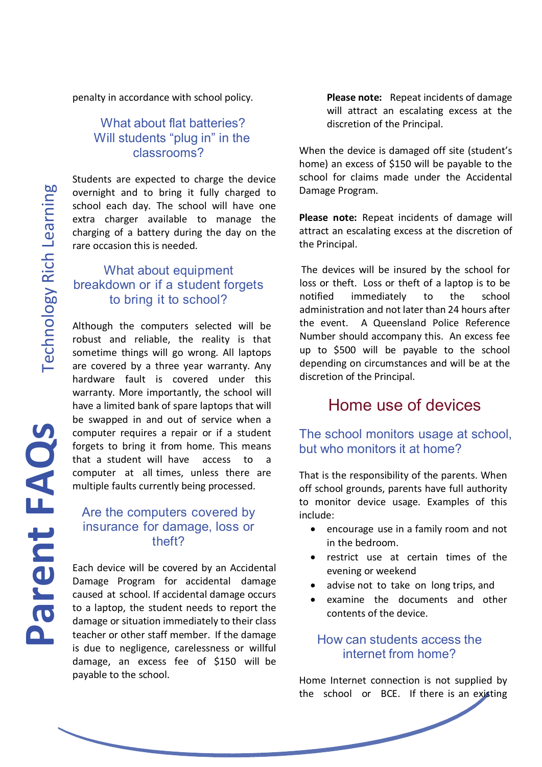**Technology Rich Learning** 

penalty in accordance with school policy.

#### What about flat batteries? Will students "plug in" in the classrooms?

Students are expected to charge the device overnight and to bring it fully charged to school each day. The school will have one extra charger available to manage the charging of a battery during the day on the rare occasion this is needed.

#### What about equipment breakdown or if a student forgets to bring it to school?

Although the computers selected will be robust and reliable, the reality is that sometime things will go wrong. All laptops are covered by a three year warranty. Any hardware fault is covered under this warranty. More importantly, the school will have a limited bank of spare laptops that will be swapped in and out of service when a computer requires a repair or if a student forgets to bring it from home. This means that a student will have access to a computer at all times, unless there are multiple faults currently being processed.

#### Are the computers covered by insurance for damage, loss or theft?

Each device will be covered by an Accidental Damage Program for accidental damage caused at school. If accidental damage occurs to a laptop, the student needs to report the damage or situation immediately to their class teacher or other staff member. If the damage is due to negligence, carelessness or willful damage, an excess fee of \$150 will be payable to the school.

**Please note:** Repeat incidents of damage will attract an escalating excess at the discretion of the Principal.

When the device is damaged off site (student's home) an excess of \$150 will be payable to the school for claims made under the Accidental Damage Program.

**Please note:** Repeat incidents of damage will attract an escalating excess at the discretion of the Principal.

The devices will be insured by the school for loss or theft. Loss or theft of a laptop is to be notified immediately to the school administration and not later than 24 hours after the event. A Queensland Police Reference Number should accompany this. An excess fee up to \$500 will be payable to the school depending on circumstances and will be at the discretion of the Principal.

## Home use of devices

#### The school monitors usage at school, but who monitors it at home?

That is the responsibility of the parents. When off school grounds, parents have full authority to monitor device usage. Examples of this include:

- encourage use in a family room and not in the bedroom.
- restrict use at certain times of the evening or weekend
- advise not to take on long trips, and
- examine the documents and other contents of the device.

#### How can students access the internet from home?

Home Internet connection is not supplied by the school or BCE. If there is an existing